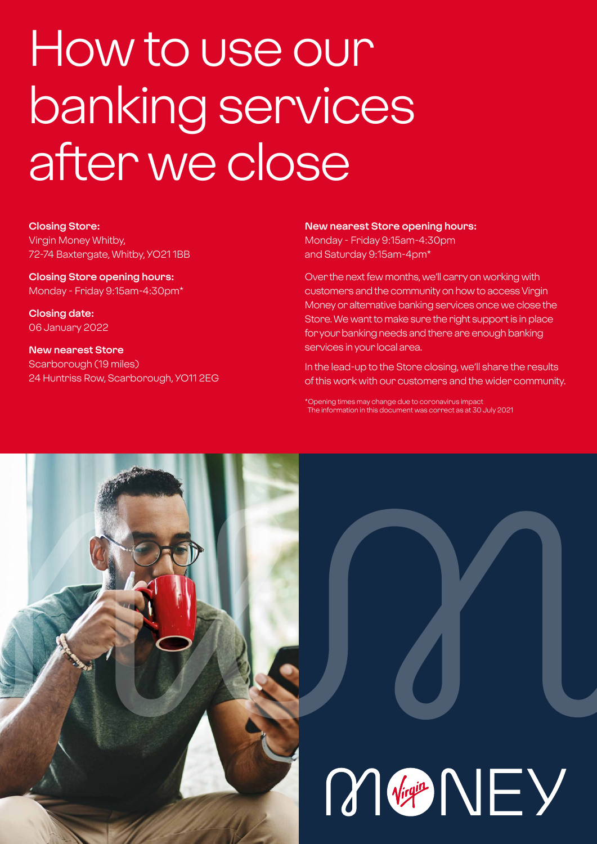# How to use our banking services after we close

**Closing Store:** Virgin Money Whitby, 72-74 Baxtergate, Whitby, YO21 1BB

**Closing Store opening hours:**  Monday - Friday 9:15am-4:30pm\*

**Closing date:**  06 January 2022

**New nearest Store** Scarborough (19 miles) 24 Huntriss Row, Scarborough, YO11 2EG **New nearest Store opening hours:**

Monday - Friday 9:15am-4:30pm and Saturday 9:15am-4pm\*

Over the next few months, we'll carry on working with customers and the community on how to access Virgin Money or alternative banking services once we close the Store. We want to make sure the right support is in place for your banking needs and there are enough banking services in your local area.

In the lead-up to the Store closing, we'll share the results of this work with our customers and the wider community.

\*Opening times may change due to coronavirus impact The information in this document was correct as at 30 July 2021

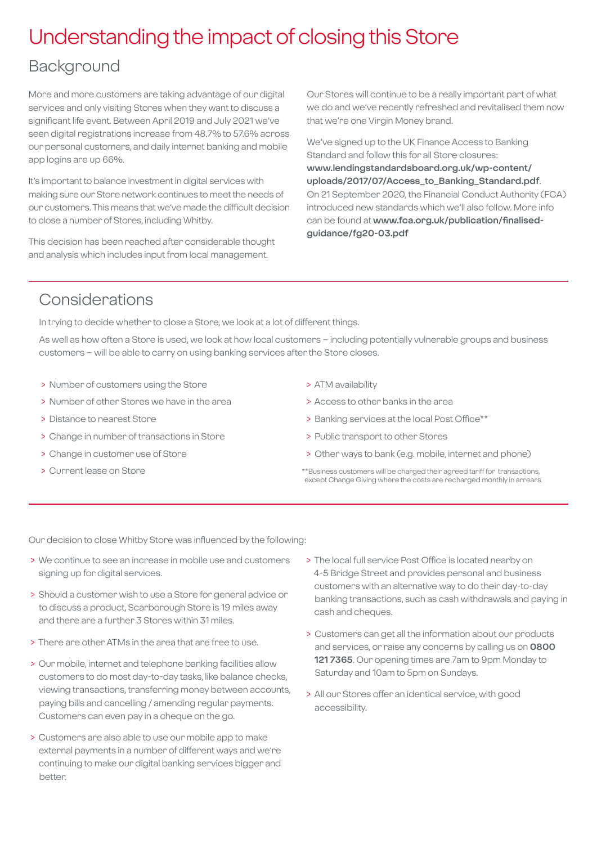### Understanding the impact of closing this Store

### Background

More and more customers are taking advantage of our digital services and only visiting Stores when they want to discuss a significant life event. Between April 2019 and July 2021 we've seen digital registrations increase from 48.7% to 57.6% across our personal customers, and daily internet banking and mobile app logins are up 66%.

It's important to balance investment in digital services with making sure our Store network continues to meet the needs of our customers. This means that we've made the difficult decision to close a number of Stores, including Whitby.

This decision has been reached after considerable thought and analysis which includes input from local management.

Our Stores will continue to be a really important part of what we do and we've recently refreshed and revitalised them now that we're one Virgin Money brand.

We've signed up to the UK Finance Access to Banking Standard and follow this for all Store closures: **[www.lendingstandardsboard.org.uk/wp-content/](http://www.lendingstandardsboard.org.uk/wp-content/uploads/2017/07/Access_to_Banking_Standard.pdf) [uploads/2017/07/Access\\_to\\_Banking\\_Standard.pdf](http://www.lendingstandardsboard.org.uk/wp-content/uploads/2017/07/Access_to_Banking_Standard.pdf)**. On 21 September 2020, the Financial Conduct Authority (FCA) introduced new standards which we'll also follow. More info can be found at **[www.fca.org.uk/publication/finalised](http://www.fca.org.uk/publication/finalised-guidance/fg20-03.pdf)[guidance/fg20-03.pdf](http://www.fca.org.uk/publication/finalised-guidance/fg20-03.pdf)**

### Considerations

In trying to decide whether to close a Store, we look at a lot of different things.

As well as how often a Store is used, we look at how local customers – including potentially vulnerable groups and business customers – will be able to carry on using banking services after the Store closes.

- > Number of customers using the Store
- > Number of other Stores we have in the area
- > Distance to nearest Store
- > Change in number of transactions in Store
- > Change in customer use of Store
- > Current lease on Store
- > ATM availability
- > Access to other banks in the area
- > Banking services at the local Post Office\*\*
- > Public transport to other Stores
- > Other ways to bank (e.g. mobile, internet and phone)
- \*\*Business customers will be charged their agreed tariff for transactions, except Change Giving where the costs are recharged monthly in arrears.

Our decision to close Whitby Store was influenced by the following:

- > We continue to see an increase in mobile use and customers signing up for digital services.
- > Should a customer wish to use a Store for general advice or to discuss a product, Scarborough Store is 19 miles away and there are a further 3 Stores within 31 miles.
- > There are other ATMs in the area that are free to use.
- > Our mobile, internet and telephone banking facilities allow customers to do most day-to-day tasks, like balance checks, viewing transactions, transferring money between accounts, paying bills and cancelling / amending regular payments. Customers can even pay in a cheque on the go.
- > Customers are also able to use our mobile app to make external payments in a number of different ways and we're continuing to make our digital banking services bigger and better.
- > The local full service Post Office is located nearby on 4-5 Bridge Street and provides personal and business customers with an alternative way to do their day-to-day banking transactions, such as cash withdrawals and paying in cash and cheques.
- > Customers can get all the information about our products and services, or raise any concerns by calling us on **0800 121 7365**. Our opening times are 7am to 9pm Monday to Saturday and 10am to 5pm on Sundays.
- > All our Stores offer an identical service, with good accessibility.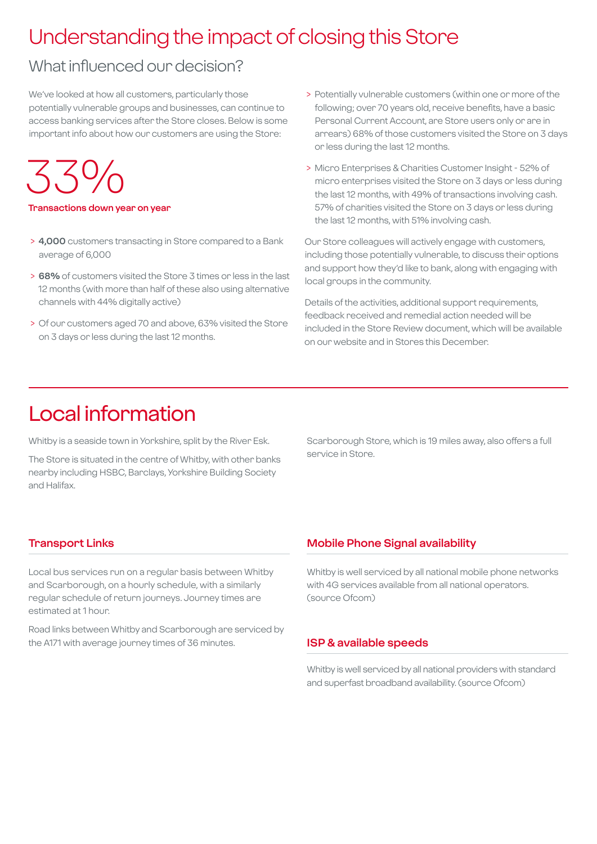## Understanding the impact of closing this Store

### What influenced our decision?

We've looked at how all customers, particularly those potentially vulnerable groups and businesses, can continue to access banking services after the Store closes. Below is some important info about how our customers are using the Store:

33%

#### **Transactions down year on year**

- > **4,000** customers transacting in Store compared to a Bank average of 6,000
- > **68%** of customers visited the Store 3 times or less in the last 12 months (with more than half of these also using alternative channels with 44% digitally active)
- > Of our customers aged 70 and above, 63% visited the Store on 3 days or less during the last 12 months.
- > Potentially vulnerable customers (within one or more of the following; over 70 years old, receive benefits, have a basic Personal Current Account, are Store users only or are in arrears) 68% of those customers visited the Store on 3 days or less during the last 12 months.
- > Micro Enterprises & Charities Customer Insight 52% of micro enterprises visited the Store on 3 days or less during the last 12 months, with 49% of transactions involving cash. 57% of charities visited the Store on 3 days or less during the last 12 months, with 51% involving cash.

Our Store colleagues will actively engage with customers, including those potentially vulnerable, to discuss their options and support how they'd like to bank, along with engaging with local groups in the community.

Details of the activities, additional support requirements, feedback received and remedial action needed will be included in the Store Review document, which will be available on our website and in Stores this December.

### Local information

Whitby is a seaside town in Yorkshire, split by the River Esk.

The Store is situated in the centre of Whitby, with other banks nearby including HSBC, Barclays, Yorkshire Building Society and Halifax.

Scarborough Store, which is 19 miles away, also offers a full service in Store.

#### **Transport Links**

Local bus services run on a regular basis between Whitby and Scarborough, on a hourly schedule, with a similarly regular schedule of return journeys. Journey times are estimated at 1 hour.

Road links between Whitby and Scarborough are serviced by the A171 with average journey times of 36 minutes.

#### **Mobile Phone Signal availability**

Whitby is well serviced by all national mobile phone networks with 4G services available from all national operators. (source Ofcom)

#### **ISP & available speeds**

Whitby is well serviced by all national providers with standard and superfast broadband availability. (source Ofcom)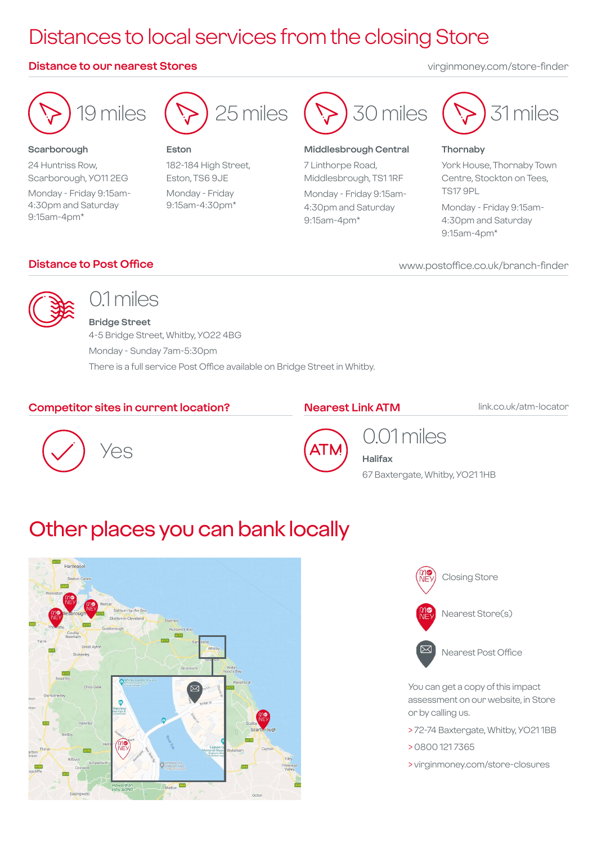## Distances to local services from the closing Store

#### **Distance to our nearest Stores** virginmoney.com/store-finder



#### **Scarborough**

24 Huntriss Row, Scarborough, YO11 2EG Monday - Friday 9:15am-4:30pm and Saturday 9:15am-4pm\*



#### **Eston**

182-184 High Street, Eston, TS6 9JE Monday - Friday 9:15am-4:30pm\*



#### **Middlesbrough Central**

7 Linthorpe Road, Middlesbrough, TS1 1RF Monday - Friday 9:15am-4:30pm and Saturday 9:15am-4pm\*



#### **Thornaby**

York House, Thornaby Town Centre, Stockton on Tees, TS17 9PL

Monday - Friday 9:15am-4:30pm and Saturday 9:15am-4pm\*

#### **Distance to Post Office**

#### www.postoffice.co.uk/branch-finder



### 0.1 miles

**Bridge Street** 4-5 Bridge Street, Whitby, YO22 4BG Monday - Sunday 7am-5:30pm There is a full service Post Office available on Bridge Street in Whitby.

#### **Competitor sites in current location?**

#### **Nearest Link ATM**

link.co.uk/atm-locator





### 0.01 miles

**Halifax** 67 Baxtergate, Whitby, YO21 1HB

### Other places you can bank locally





Nearest Post Office

You can get a copy of this impact assessment on our website, in Store or by calling us.

- > 72-74 Baxtergate, Whitby, YO21 1BB
- > 0800 121 7365
- > virginmoney.com/store-closures